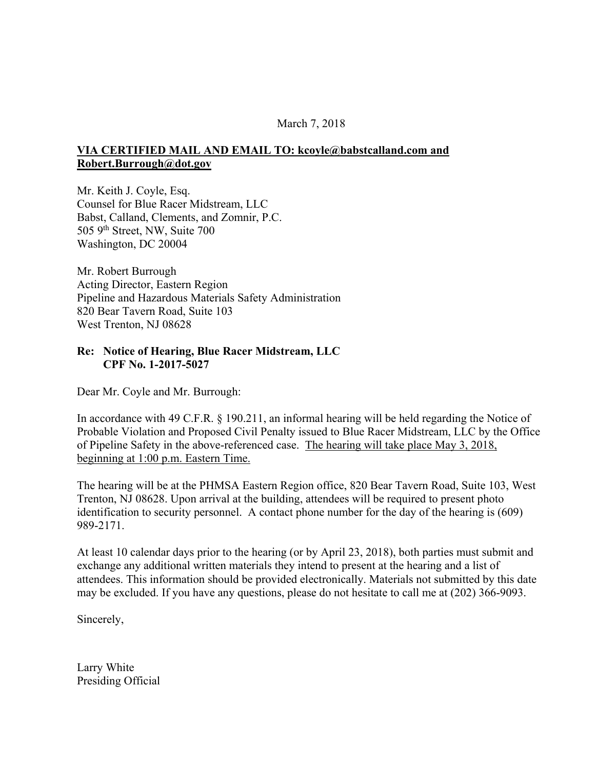## March 7, 2018

## **VIA CERTIFIED MAIL AND EMAIL TO: kcoyle@babstcalland.com and Robert.Burrough@dot.gov**

Mr. Keith J. Coyle, Esq. Counsel for Blue Racer Midstream, LLC Babst, Calland, Clements, and Zomnir, P.C. 505 9th Street, NW, Suite 700 Washington, DC 20004

Mr. Robert Burrough Acting Director, Eastern Region Pipeline and Hazardous Materials Safety Administration 820 Bear Tavern Road, Suite 103 West Trenton, NJ 08628

## **Re: Notice of Hearing, Blue Racer Midstream, LLC CPF No. 1-2017-5027**

Dear Mr. Coyle and Mr. Burrough:

In accordance with 49 C.F.R. § 190.211, an informal hearing will be held regarding the Notice of Probable Violation and Proposed Civil Penalty issued to Blue Racer Midstream, LLC by the Office of Pipeline Safety in the above-referenced case. The hearing will take place May 3, 2018, beginning at 1:00 p.m. Eastern Time.

The hearing will be at the PHMSA Eastern Region office, 820 Bear Tavern Road, Suite 103, West Trenton, NJ 08628. Upon arrival at the building, attendees will be required to present photo identification to security personnel. A contact phone number for the day of the hearing is (609) 989-2171.

At least 10 calendar days prior to the hearing (or by April 23, 2018), both parties must submit and exchange any additional written materials they intend to present at the hearing and a list of attendees. This information should be provided electronically. Materials not submitted by this date may be excluded. If you have any questions, please do not hesitate to call me at (202) 366-9093.

Sincerely,

Larry White Presiding Official